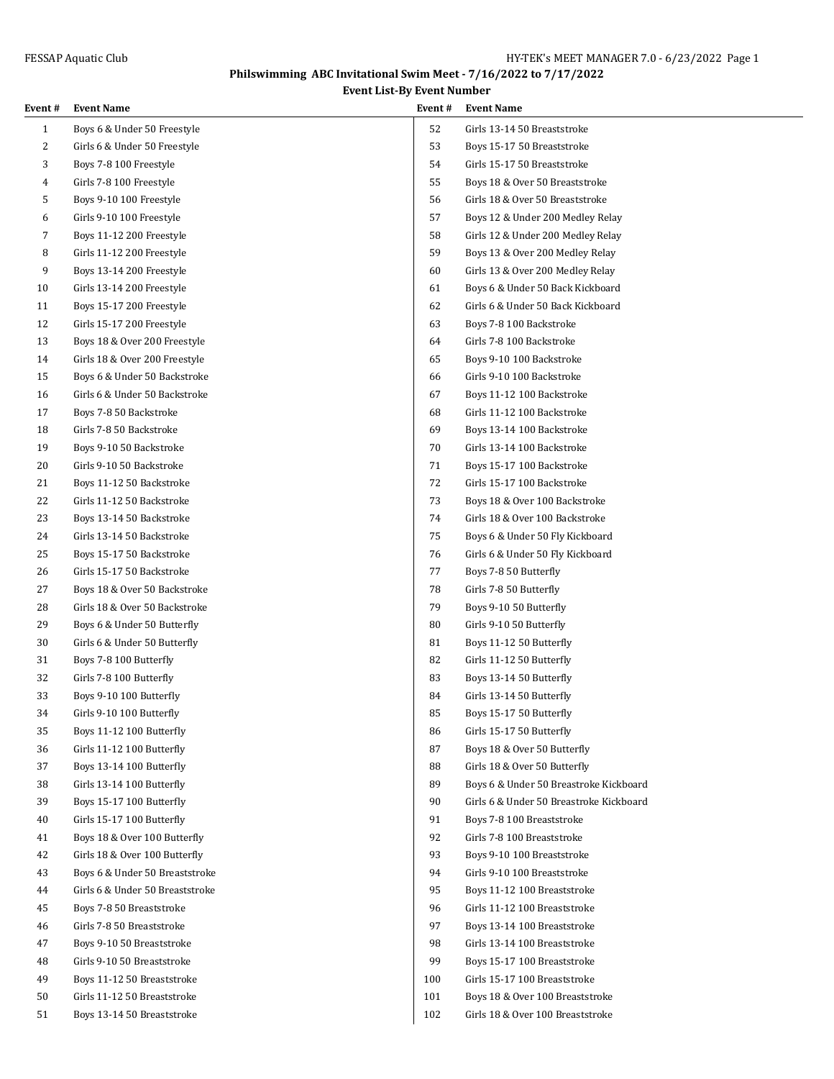## **Philswimming ABC Invitational Swim Meet - 7/16/2022 to 7/17/2022**

**Event List-By Event Number**

| Event #      | <b>Event Name</b>               | Event# | <b>Event Name</b>                       |
|--------------|---------------------------------|--------|-----------------------------------------|
| $\mathbf{1}$ | Boys 6 & Under 50 Freestyle     | 52     | Girls 13-14 50 Breaststroke             |
| 2            | Girls 6 & Under 50 Freestyle    | 53     | Boys 15-17 50 Breaststroke              |
| 3            | Boys 7-8 100 Freestyle          | 54     | Girls 15-17 50 Breaststroke             |
| 4            | Girls 7-8 100 Freestyle         | 55     | Boys 18 & Over 50 Breaststroke          |
| 5            | Boys 9-10 100 Freestyle         | 56     | Girls 18 & Over 50 Breaststroke         |
| 6            | Girls 9-10 100 Freestyle        | 57     | Boys 12 & Under 200 Medley Relay        |
| 7            | Boys 11-12 200 Freestyle        | 58     | Girls 12 & Under 200 Medley Relay       |
| 8            | Girls 11-12 200 Freestyle       | 59     | Boys 13 & Over 200 Medley Relay         |
| 9            | Boys 13-14 200 Freestyle        | 60     | Girls 13 & Over 200 Medley Relay        |
| 10           | Girls 13-14 200 Freestyle       | 61     | Boys 6 & Under 50 Back Kickboard        |
| 11           | Boys 15-17 200 Freestyle        | 62     | Girls 6 & Under 50 Back Kickboard       |
| 12           | Girls 15-17 200 Freestyle       | 63     | Boys 7-8 100 Backstroke                 |
| 13           | Boys 18 & Over 200 Freestyle    | 64     | Girls 7-8 100 Backstroke                |
| 14           | Girls 18 & Over 200 Freestyle   | 65     | Boys 9-10 100 Backstroke                |
| 15           | Boys 6 & Under 50 Backstroke    | 66     | Girls 9-10 100 Backstroke               |
| 16           | Girls 6 & Under 50 Backstroke   | 67     | Boys 11-12 100 Backstroke               |
| 17           | Boys 7-8 50 Backstroke          | 68     | Girls 11-12 100 Backstroke              |
| 18           | Girls 7-8 50 Backstroke         | 69     | Boys 13-14 100 Backstroke               |
| 19           | Boys 9-10 50 Backstroke         | 70     | Girls 13-14 100 Backstroke              |
| 20           | Girls 9-10 50 Backstroke        | 71     | Boys 15-17 100 Backstroke               |
| 21           | Boys 11-12 50 Backstroke        | 72     | Girls 15-17 100 Backstroke              |
| 22           | Girls 11-12 50 Backstroke       | 73     | Boys 18 & Over 100 Backstroke           |
| 23           | Boys 13-14 50 Backstroke        | 74     | Girls 18 & Over 100 Backstroke          |
| 24           | Girls 13-14 50 Backstroke       | 75     | Boys 6 & Under 50 Fly Kickboard         |
| 25           | Boys 15-17 50 Backstroke        | 76     | Girls 6 & Under 50 Fly Kickboard        |
| 26           | Girls 15-17 50 Backstroke       | 77     | Boys 7-8 50 Butterfly                   |
| 27           | Boys 18 & Over 50 Backstroke    | 78     | Girls 7-8 50 Butterfly                  |
| 28           | Girls 18 & Over 50 Backstroke   | 79     | Boys 9-10 50 Butterfly                  |
| 29           | Boys 6 & Under 50 Butterfly     | 80     | Girls 9-10 50 Butterfly                 |
| 30           | Girls 6 & Under 50 Butterfly    | 81     | Boys 11-12 50 Butterfly                 |
| 31           | Boys 7-8 100 Butterfly          | 82     | Girls 11-12 50 Butterfly                |
| 32           | Girls 7-8 100 Butterfly         | 83     | Boys 13-14 50 Butterfly                 |
| 33           | Boys 9-10 100 Butterfly         | 84     | Girls 13-14 50 Butterfly                |
| 34           | Girls 9-10 100 Butterfly        | 85     | Boys 15-17 50 Butterfly                 |
| 35           | Boys 11-12 100 Butterfly        | 86     | Girls 15-17 50 Butterfly                |
| 36           | Girls 11-12 100 Butterfly       | 87     | Boys 18 & Over 50 Butterfly             |
| 37           | Boys 13-14 100 Butterfly        | 88     | Girls 18 & Over 50 Butterfly            |
| 38           | Girls 13-14 100 Butterfly       | 89     | Boys 6 & Under 50 Breastroke Kickboard  |
| 39           | Boys 15-17 100 Butterfly        | 90     | Girls 6 & Under 50 Breastroke Kickboard |
| 40           | Girls 15-17 100 Butterfly       | 91     | Boys 7-8 100 Breaststroke               |
| 41           | Boys 18 & Over 100 Butterfly    | 92     | Girls 7-8 100 Breaststroke              |
| 42           | Girls 18 & Over 100 Butterfly   | 93     | Boys 9-10 100 Breaststroke              |
| 43           | Boys 6 & Under 50 Breaststroke  | 94     | Girls 9-10 100 Breaststroke             |
| 44           | Girls 6 & Under 50 Breaststroke | 95     | Boys 11-12 100 Breaststroke             |
| 45           | Boys 7-8 50 Breaststroke        | 96     | Girls 11-12 100 Breaststroke            |
| 46           | Girls 7-8 50 Breaststroke       | 97     | Boys 13-14 100 Breaststroke             |
| 47           | Boys 9-10 50 Breaststroke       | 98     | Girls 13-14 100 Breaststroke            |
| 48           | Girls 9-10 50 Breaststroke      | 99     | Boys 15-17 100 Breaststroke             |
| 49           | Boys 11-12 50 Breaststroke      | 100    | Girls 15-17 100 Breaststroke            |
| 50           | Girls 11-12 50 Breaststroke     | 101    | Boys 18 & Over 100 Breaststroke         |
| 51           | Boys 13-14 50 Breaststroke      | 102    | Girls 18 & Over 100 Breaststroke        |
|              |                                 |        |                                         |